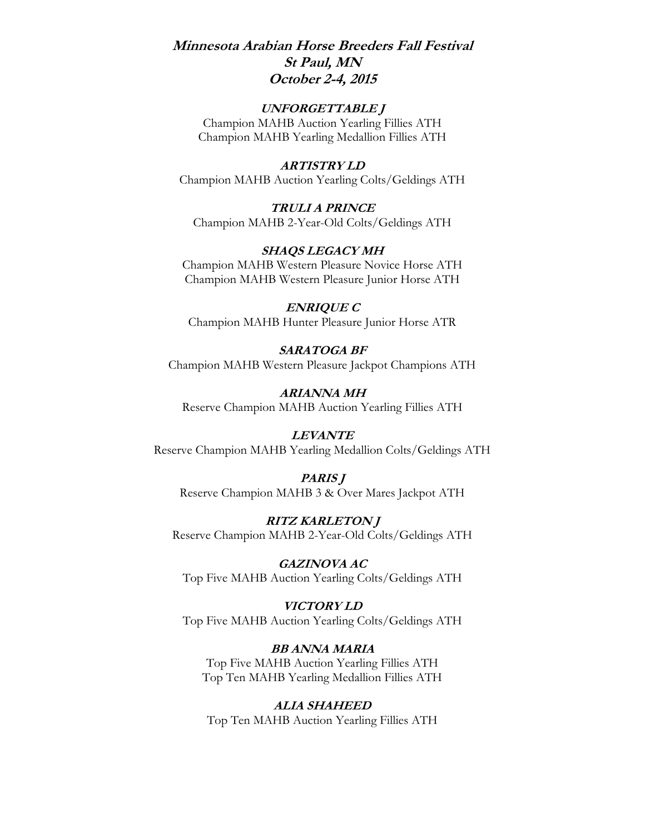## **Minnesota Arabian Horse Breeders Fall Festival St Paul, MN October 2-4, 2015**

#### **UNFORGETTABLE J**

Champion MAHB Auction Yearling Fillies ATH Champion MAHB Yearling Medallion Fillies ATH

#### **ARTISTRY LD**

Champion MAHB Auction Yearling Colts/Geldings ATH

**TRULI A PRINCE** Champion MAHB 2-Year-Old Colts/Geldings ATH

#### **SHAQS LEGACY MH**

Champion MAHB Western Pleasure Novice Horse ATH Champion MAHB Western Pleasure Junior Horse ATH

# **ENRIQUE C**

Champion MAHB Hunter Pleasure Junior Horse ATR

#### **SARATOGA BF** Champion MAHB Western Pleasure Jackpot Champions ATH

**ARIANNA MH** Reserve Champion MAHB Auction Yearling Fillies ATH

#### **LEVANTE**

Reserve Champion MAHB Yearling Medallion Colts/Geldings ATH

#### **PARIS J** Reserve Champion MAHB 3 & Over Mares Jackpot ATH

**RITZ KARLETON J** Reserve Champion MAHB 2-Year-Old Colts/Geldings ATH

**GAZINOVA AC** Top Five MAHB Auction Yearling Colts/Geldings ATH

#### **VICTORY LD** Top Five MAHB Auction Yearling Colts/Geldings ATH

**BB ANNA MARIA** Top Five MAHB Auction Yearling Fillies ATH Top Ten MAHB Yearling Medallion Fillies ATH

#### **ALIA SHAHEED**

Top Ten MAHB Auction Yearling Fillies ATH